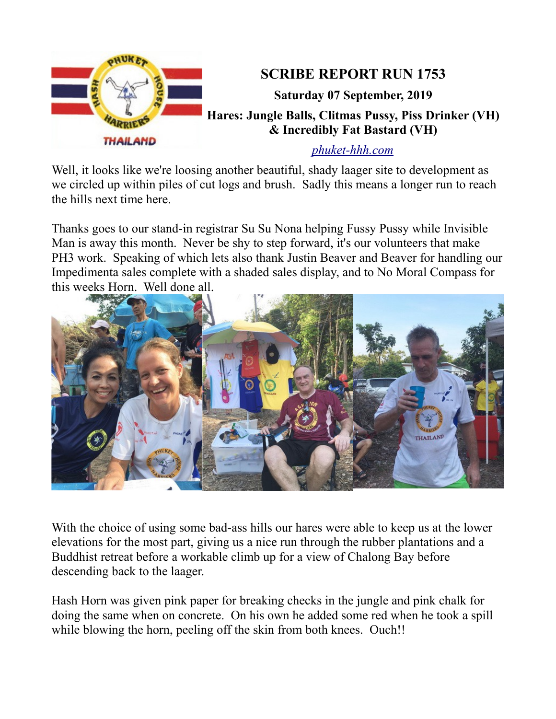

*[phuket-hhh.com](http://phuket-hhh.com/)*

Well, it looks like we're loosing another beautiful, shady laager site to development as we circled up within piles of cut logs and brush. Sadly this means a longer run to reach the hills next time here.

Thanks goes to our stand-in registrar Su Su Nona helping Fussy Pussy while Invisible Man is away this month. Never be shy to step forward, it's our volunteers that make PH3 work. Speaking of which lets also thank Justin Beaver and Beaver for handling our Impedimenta sales complete with a shaded sales display, and to No Moral Compass for this weeks Horn. Well done all.



With the choice of using some bad-ass hills our hares were able to keep us at the lower elevations for the most part, giving us a nice run through the rubber plantations and a Buddhist retreat before a workable climb up for a view of Chalong Bay before descending back to the laager.

Hash Horn was given pink paper for breaking checks in the jungle and pink chalk for doing the same when on concrete. On his own he added some red when he took a spill while blowing the horn, peeling off the skin from both knees. Ouch!!